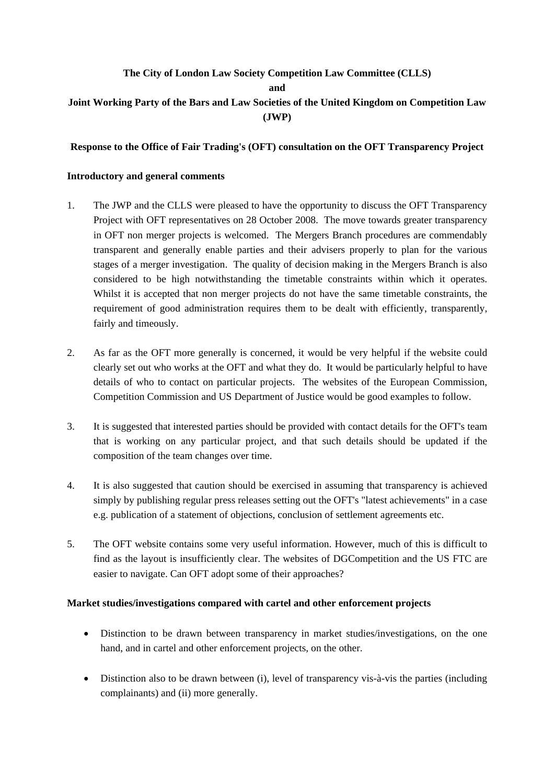# **The City of London Law Society Competition Law Committee (CLLS) and Joint Working Party of the Bars and Law Societies of the United Kingdom on Competition Law (JWP)**

#### **Response to the Office of Fair Trading's (OFT) consultation on the OFT Transparency Project**

#### **Introductory and general comments**

- 1. The JWP and the CLLS were pleased to have the opportunity to discuss the OFT Transparency Project with OFT representatives on 28 October 2008. The move towards greater transparency in OFT non merger projects is welcomed. The Mergers Branch procedures are commendably transparent and generally enable parties and their advisers properly to plan for the various stages of a merger investigation. The quality of decision making in the Mergers Branch is also considered to be high notwithstanding the timetable constraints within which it operates. Whilst it is accepted that non merger projects do not have the same timetable constraints, the requirement of good administration requires them to be dealt with efficiently, transparently, fairly and timeously.
- 2. As far as the OFT more generally is concerned, it would be very helpful if the website could clearly set out who works at the OFT and what they do. It would be particularly helpful to have details of who to contact on particular projects. The websites of the European Commission, Competition Commission and US Department of Justice would be good examples to follow.
- 3. It is suggested that interested parties should be provided with contact details for the OFT's team that is working on any particular project, and that such details should be updated if the composition of the team changes over time.
- 4. It is also suggested that caution should be exercised in assuming that transparency is achieved simply by publishing regular press releases setting out the OFT's "latest achievements" in a case e.g. publication of a statement of objections, conclusion of settlement agreements etc.
- 5. The OFT website contains some very useful information. However, much of this is difficult to find as the layout is insufficiently clear. The websites of DGCompetition and the US FTC are easier to navigate. Can OFT adopt some of their approaches?

#### **Market studies/investigations compared with cartel and other enforcement projects**

- Distinction to be drawn between transparency in market studies/investigations, on the one hand, and in cartel and other enforcement projects, on the other.
- Distinction also to be drawn between (i), level of transparency vis-à-vis the parties (including complainants) and (ii) more generally.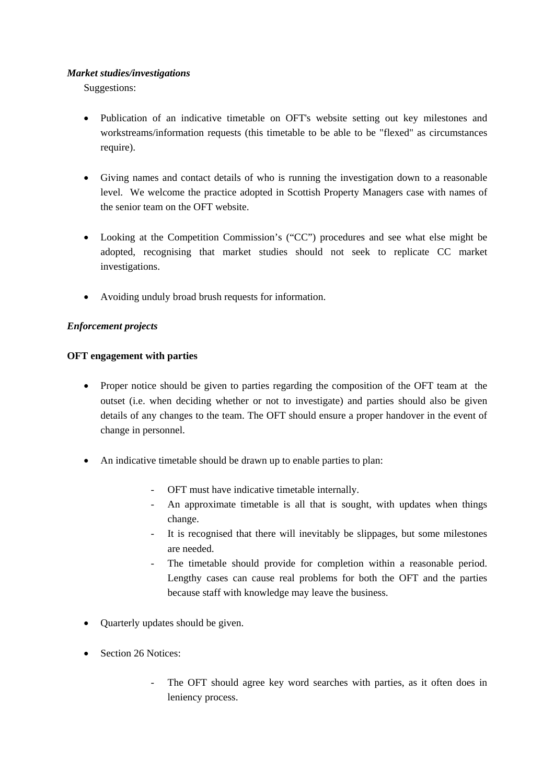### *Market studies/investigations*

Suggestions:

- Publication of an indicative timetable on OFT's website setting out key milestones and workstreams/information requests (this timetable to be able to be "flexed" as circumstances require).
- Giving names and contact details of who is running the investigation down to a reasonable level. We welcome the practice adopted in Scottish Property Managers case with names of the senior team on the OFT website.
- Looking at the Competition Commission's ("CC") procedures and see what else might be adopted, recognising that market studies should not seek to replicate CC market investigations.
- Avoiding unduly broad brush requests for information.

# *Enforcement projects*

# **OFT engagement with parties**

- Proper notice should be given to parties regarding the composition of the OFT team at the outset (i.e. when deciding whether or not to investigate) and parties should also be given details of any changes to the team. The OFT should ensure a proper handover in the event of change in personnel.
- An indicative timetable should be drawn up to enable parties to plan:
	- OFT must have indicative timetable internally.
	- An approximate timetable is all that is sought, with updates when things change.
	- It is recognised that there will inevitably be slippages, but some milestones are needed.
	- The timetable should provide for completion within a reasonable period. Lengthy cases can cause real problems for both the OFT and the parties because staff with knowledge may leave the business.
- Quarterly updates should be given.
- Section 26 Notices:
	- The OFT should agree key word searches with parties, as it often does in leniency process.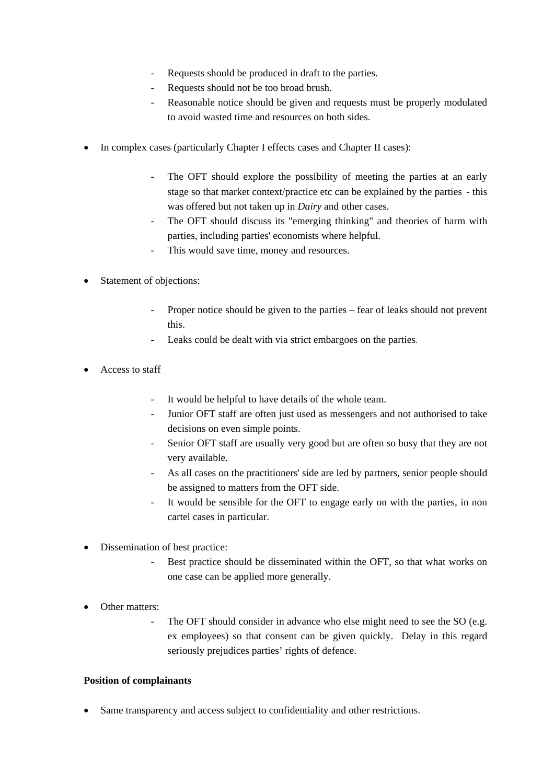- Requests should be produced in draft to the parties.
- Requests should not be too broad brush.
- Reasonable notice should be given and requests must be properly modulated to avoid wasted time and resources on both sides.
- In complex cases (particularly Chapter I effects cases and Chapter II cases):
	- The OFT should explore the possibility of meeting the parties at an early stage so that market context/practice etc can be explained by the parties - this was offered but not taken up in *Dairy* and other cases.
	- The OFT should discuss its "emerging thinking" and theories of harm with parties, including parties' economists where helpful.
	- This would save time, money and resources.
- Statement of objections:
	- Proper notice should be given to the parties fear of leaks should not prevent this.
	- Leaks could be dealt with via strict embargoes on the parties.
- Access to staff
	- It would be helpful to have details of the whole team.
	- Junior OFT staff are often just used as messengers and not authorised to take decisions on even simple points.
	- Senior OFT staff are usually very good but are often so busy that they are not very available.
	- As all cases on the practitioners' side are led by partners, senior people should be assigned to matters from the OFT side.
	- It would be sensible for the OFT to engage early on with the parties, in non cartel cases in particular.
- Dissemination of best practice:
	- Best practice should be disseminated within the OFT, so that what works on one case can be applied more generally.
- Other matters:
	- The OFT should consider in advance who else might need to see the SO (e.g. ex employees) so that consent can be given quickly. Delay in this regard seriously prejudices parties' rights of defence.

# **Position of complainants**

Same transparency and access subject to confidentiality and other restrictions.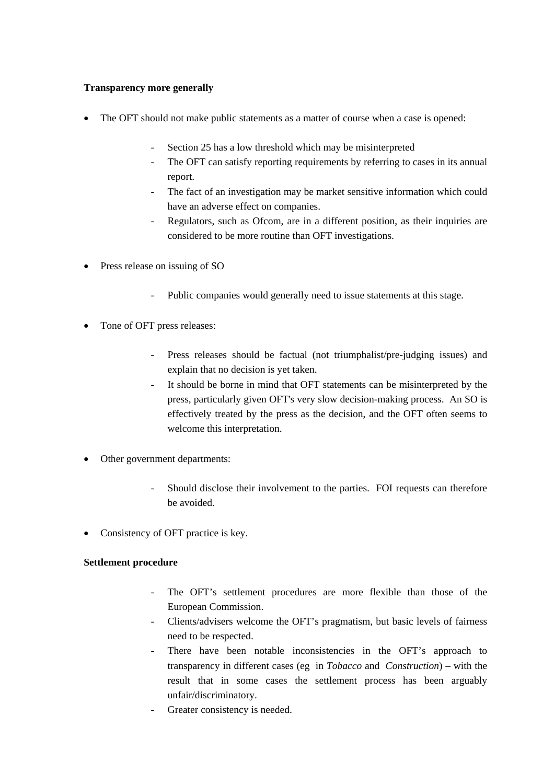### **Transparency more generally**

- The OFT should not make public statements as a matter of course when a case is opened:
	- Section 25 has a low threshold which may be misinterpreted
	- The OFT can satisfy reporting requirements by referring to cases in its annual report.
	- The fact of an investigation may be market sensitive information which could have an adverse effect on companies.
	- Regulators, such as Ofcom, are in a different position, as their inquiries are considered to be more routine than OFT investigations.
- Press release on issuing of SO
	- Public companies would generally need to issue statements at this stage.
- Tone of OFT press releases:
	- Press releases should be factual (not triumphalist/pre-judging issues) and explain that no decision is yet taken.
	- It should be borne in mind that OFT statements can be misinterpreted by the press, particularly given OFT's very slow decision-making process. An SO is effectively treated by the press as the decision, and the OFT often seems to welcome this interpretation.
- Other government departments:
	- Should disclose their involvement to the parties. FOI requests can therefore be avoided.
- Consistency of OFT practice is key.

# **Settlement procedure**

- The OFT's settlement procedures are more flexible than those of the European Commission.
- Clients/advisers welcome the OFT's pragmatism, but basic levels of fairness need to be respected.
- There have been notable inconsistencies in the OFT's approach to transparency in different cases (eg in *Tobacco* and *Construction*) – with the result that in some cases the settlement process has been arguably unfair/discriminatory.
- Greater consistency is needed.